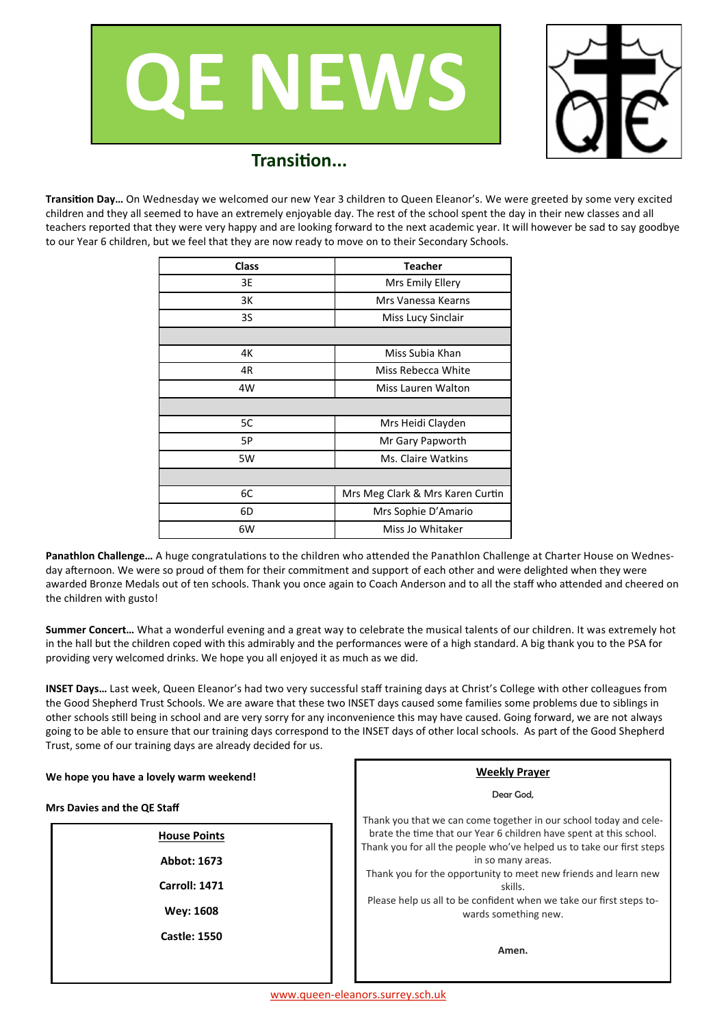



## **Transition...**

**Transition Day…** On Wednesday we welcomed our new Year 3 children to Queen Eleanor's. We were greeted by some very excited children and they all seemed to have an extremely enjoyable day. The rest of the school spent the day in their new classes and all teachers reported that they were very happy and are looking forward to the next academic year. It will however be sad to say goodbye to our Year 6 children, but we feel that they are now ready to move on to their Secondary Schools.

| <b>Class</b> | <b>Teacher</b>                   |  |  |  |
|--------------|----------------------------------|--|--|--|
| 3E           | Mrs Emily Ellery                 |  |  |  |
| 3K           | Mrs Vanessa Kearns               |  |  |  |
| 3S           | Miss Lucy Sinclair               |  |  |  |
|              |                                  |  |  |  |
| 4K           | Miss Subia Khan                  |  |  |  |
| 4R           | Miss Rebecca White               |  |  |  |
| 4W           | Miss Lauren Walton               |  |  |  |
|              |                                  |  |  |  |
| 5C           | Mrs Heidi Clayden                |  |  |  |
| 5P           | Mr Gary Papworth                 |  |  |  |
| 5W           | Ms. Claire Watkins               |  |  |  |
|              |                                  |  |  |  |
| 6C           | Mrs Meg Clark & Mrs Karen Curtin |  |  |  |
| 6D           | Mrs Sophie D'Amario              |  |  |  |
| 6W           | Miss Jo Whitaker                 |  |  |  |

**Panathlon Challenge…** A huge congratulations to the children who attended the Panathlon Challenge at Charter House on Wednesday afternoon. We were so proud of them for their commitment and support of each other and were delighted when they were awarded Bronze Medals out of ten schools. Thank you once again to Coach Anderson and to all the staff who attended and cheered on the children with gusto!

**Summer Concert…** What a wonderful evening and a great way to celebrate the musical talents of our children. It was extremely hot in the hall but the children coped with this admirably and the performances were of a high standard. A big thank you to the PSA for providing very welcomed drinks. We hope you all enjoyed it as much as we did.

**INSET Days…** Last week, Queen Eleanor's had two very successful staff training days at Christ's College with other colleagues from the Good Shepherd Trust Schools. We are aware that these two INSET days caused some families some problems due to siblings in other schools still being in school and are very sorry for any inconvenience this may have caused. Going forward, we are not always going to be able to ensure that our training days correspond to the INSET days of other local schools. As part of the Good Shepherd Trust, some of our training days are already decided for us.

| We hope you have a lovely warm weekend! | <b>Weekly Prayer</b>                                                                                                                                                                                                          |  |  |
|-----------------------------------------|-------------------------------------------------------------------------------------------------------------------------------------------------------------------------------------------------------------------------------|--|--|
| <b>Mrs Davies and the QE Staff</b>      | Dear God,<br>Thank you that we can come together in our school today and cele-<br>brate the time that our Year 6 children have spent at this school.<br>Thank you for all the people who've helped us to take our first steps |  |  |
| <b>House Points</b>                     |                                                                                                                                                                                                                               |  |  |
| Abbot: 1673                             | in so many areas.                                                                                                                                                                                                             |  |  |
| Carroll: 1471                           | Thank you for the opportunity to meet new friends and learn new<br>skills.                                                                                                                                                    |  |  |
| <b>Wey: 1608</b>                        | Please help us all to be confident when we take our first steps to-<br>wards something new.                                                                                                                                   |  |  |
| <b>Castle: 1550</b>                     | Amen.                                                                                                                                                                                                                         |  |  |
|                                         |                                                                                                                                                                                                                               |  |  |